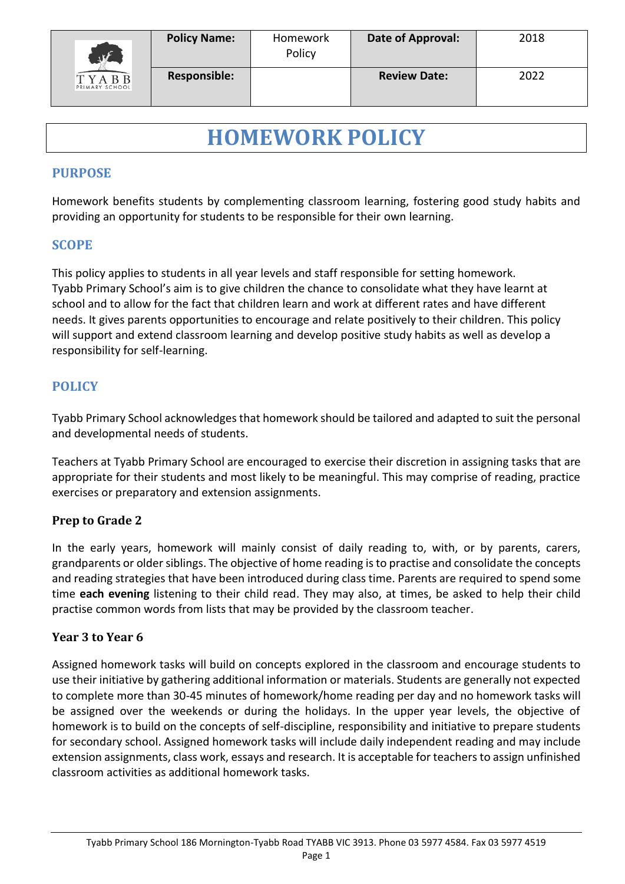

# **HOMEWORK POLICY**

#### **PURPOSE**

Homework benefits students by complementing classroom learning, fostering good study habits and providing an opportunity for students to be responsible for their own learning.

### **SCOPE**

This policy applies to students in all year levels and staff responsible for setting homework. Tyabb Primary School's aim is to give children the chance to consolidate what they have learnt at school and to allow for the fact that children learn and work at different rates and have different needs. It gives parents opportunities to encourage and relate positively to their children. This policy will support and extend classroom learning and develop positive study habits as well as develop a responsibility for self-learning.

## **POLICY**

Tyabb Primary School acknowledges that homework should be tailored and adapted to suit the personal and developmental needs of students.

Teachers at Tyabb Primary School are encouraged to exercise their discretion in assigning tasks that are appropriate for their students and most likely to be meaningful. This may comprise of reading, practice exercises or preparatory and extension assignments.

#### **Prep to Grade 2**

In the early years, homework will mainly consist of daily reading to, with, or by parents, carers, grandparents or older siblings. The objective of home reading isto practise and consolidate the concepts and reading strategies that have been introduced during class time. Parents are required to spend some time **each evening** listening to their child read. They may also, at times, be asked to help their child practise common words from lists that may be provided by the classroom teacher.

#### **Year 3 to Year 6**

Assigned homework tasks will build on concepts explored in the classroom and encourage students to use their initiative by gathering additional information or materials. Students are generally not expected to complete more than 30-45 minutes of homework/home reading per day and no homework tasks will be assigned over the weekends or during the holidays. In the upper year levels, the objective of homework is to build on the concepts of self-discipline, responsibility and initiative to prepare students for secondary school. Assigned homework tasks will include daily independent reading and may include extension assignments, class work, essays and research. It is acceptable for teachers to assign unfinished classroom activities as additional homework tasks.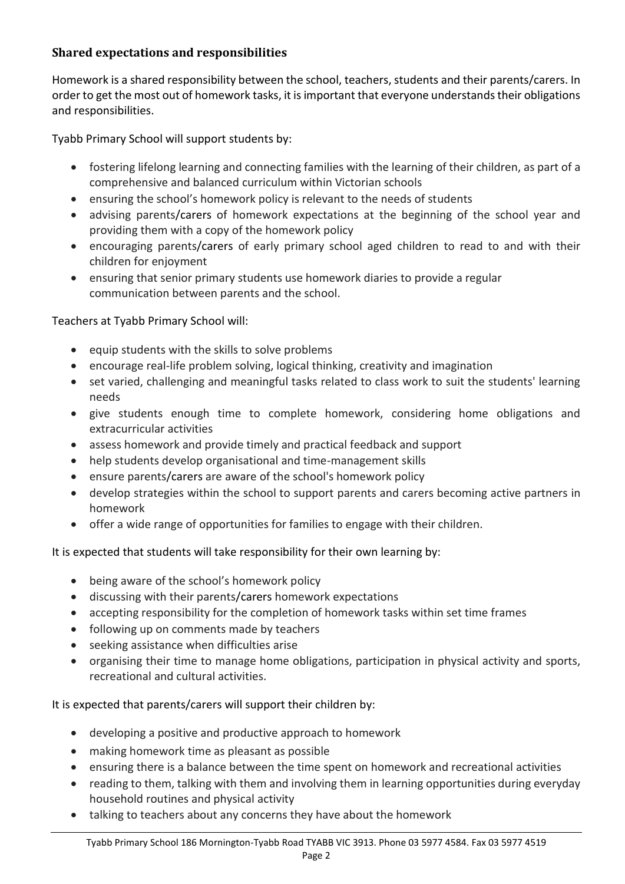### **Shared expectations and responsibilities**

Homework is a shared responsibility between the school, teachers, students and their parents/carers. In order to get the most out of homework tasks, it is important that everyone understands their obligations and responsibilities.

Tyabb Primary School will support students by:

- fostering lifelong learning and connecting families with the learning of their children, as part of a comprehensive and balanced curriculum within Victorian schools
- ensuring the school's homework policy is relevant to the needs of students
- advising parents/carers of homework expectations at the beginning of the school year and providing them with a copy of the homework policy
- encouraging parents/carers of early primary school aged children to read to and with their children for enjoyment
- ensuring that senior primary students use homework diaries to provide a regular communication between parents and the school.

Teachers at Tyabb Primary School will:

- $\bullet$  equip students with the skills to solve problems
- encourage real-life problem solving, logical thinking, creativity and imagination
- set varied, challenging and meaningful tasks related to class work to suit the students' learning needs
- give students enough time to complete homework, considering home obligations and extracurricular activities
- assess homework and provide timely and practical feedback and support
- help students develop organisational and time-management skills
- ensure parents/carers are aware of the school's homework policy
- develop strategies within the school to support parents and carers becoming active partners in homework
- offer a wide range of opportunities for families to engage with their children.

It is expected that students will take responsibility for their own learning by:

- being aware of the school's homework policy
- discussing with their parents/carers homework expectations
- accepting responsibility for the completion of homework tasks within set time frames
- following up on comments made by teachers
- seeking assistance when difficulties arise
- organising their time to manage home obligations, participation in physical activity and sports, recreational and cultural activities.

It is expected that parents/carers will support their children by:

- developing a positive and productive approach to homework
- making homework time as pleasant as possible
- ensuring there is a balance between the time spent on homework and recreational activities
- reading to them, talking with them and involving them in learning opportunities during everyday household routines and physical activity
- talking to teachers about any concerns they have about the homework